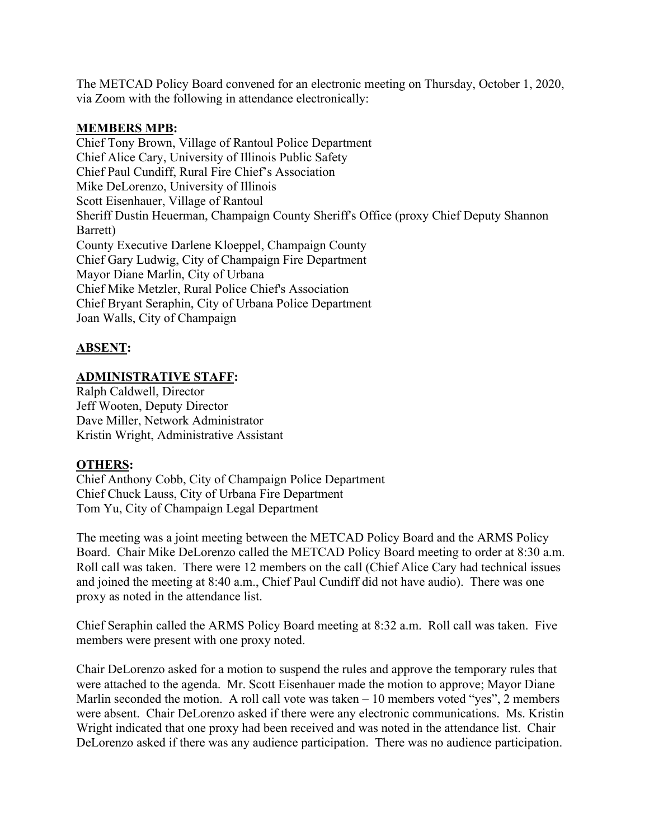The METCAD Policy Board convened for an electronic meeting on Thursday, October 1, 2020, via Zoom with the following in attendance electronically:

## **MEMBERS MPB:**

Chief Tony Brown, Village of Rantoul Police Department Chief Alice Cary, University of Illinois Public Safety Chief Paul Cundiff, Rural Fire Chief's Association Mike DeLorenzo, University of Illinois Scott Eisenhauer, Village of Rantoul Sheriff Dustin Heuerman, Champaign County Sheriff's Office (proxy Chief Deputy Shannon Barrett) County Executive Darlene Kloeppel, Champaign County Chief Gary Ludwig, City of Champaign Fire Department Mayor Diane Marlin, City of Urbana Chief Mike Metzler, Rural Police Chief's Association Chief Bryant Seraphin, City of Urbana Police Department Joan Walls, City of Champaign

## **ABSENT:**

## **ADMINISTRATIVE STAFF:**

Ralph Caldwell, Director Jeff Wooten, Deputy Director Dave Miller, Network Administrator Kristin Wright, Administrative Assistant

## **OTHERS:**

Chief Anthony Cobb, City of Champaign Police Department Chief Chuck Lauss, City of Urbana Fire Department Tom Yu, City of Champaign Legal Department

The meeting was a joint meeting between the METCAD Policy Board and the ARMS Policy Board. Chair Mike DeLorenzo called the METCAD Policy Board meeting to order at 8:30 a.m. Roll call was taken. There were 12 members on the call (Chief Alice Cary had technical issues and joined the meeting at 8:40 a.m., Chief Paul Cundiff did not have audio). There was one proxy as noted in the attendance list.

Chief Seraphin called the ARMS Policy Board meeting at 8:32 a.m. Roll call was taken. Five members were present with one proxy noted.

Chair DeLorenzo asked for a motion to suspend the rules and approve the temporary rules that were attached to the agenda. Mr. Scott Eisenhauer made the motion to approve; Mayor Diane Marlin seconded the motion. A roll call vote was taken  $-10$  members voted "yes", 2 members were absent. Chair DeLorenzo asked if there were any electronic communications. Ms. Kristin Wright indicated that one proxy had been received and was noted in the attendance list. Chair DeLorenzo asked if there was any audience participation. There was no audience participation.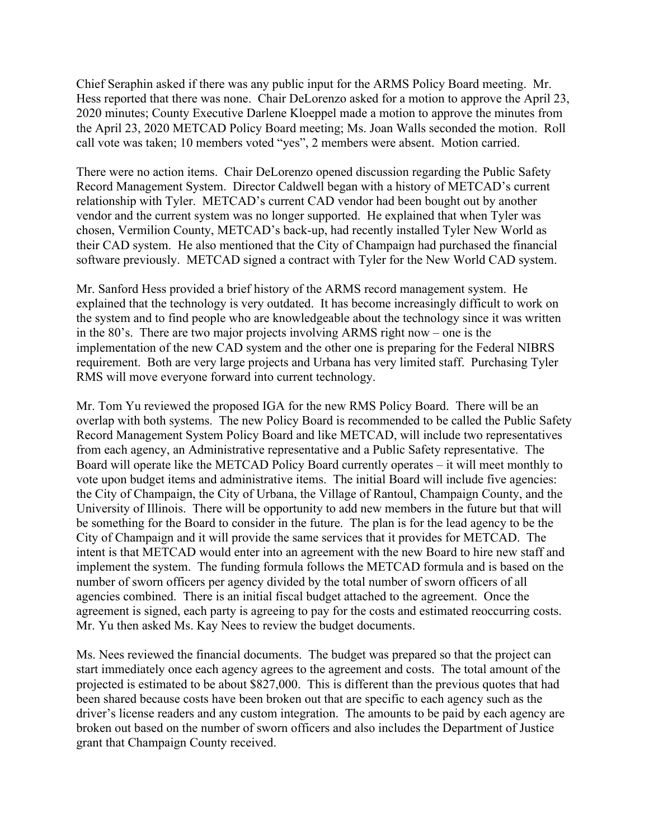Chief Seraphin asked if there was any public input for the ARMS Policy Board meeting. Mr. Hess reported that there was none. Chair DeLorenzo asked for a motion to approve the April 23, 2020 minutes; County Executive Darlene Kloeppel made a motion to approve the minutes from the April 23, 2020 METCAD Policy Board meeting; Ms. Joan Walls seconded the motion. Roll call vote was taken; 10 members voted "yes", 2 members were absent. Motion carried.

There were no action items. Chair DeLorenzo opened discussion regarding the Public Safety Record Management System. Director Caldwell began with a history of METCAD's current relationship with Tyler. METCAD's current CAD vendor had been bought out by another vendor and the current system was no longer supported. He explained that when Tyler was chosen, Vermilion County, METCAD's back-up, had recently installed Tyler New World as their CAD system. He also mentioned that the City of Champaign had purchased the financial software previously. METCAD signed a contract with Tyler for the New World CAD system.

Mr. Sanford Hess provided a brief history of the ARMS record management system. He explained that the technology is very outdated. It has become increasingly difficult to work on the system and to find people who are knowledgeable about the technology since it was written in the 80's. There are two major projects involving ARMS right now – one is the implementation of the new CAD system and the other one is preparing for the Federal NIBRS requirement. Both are very large projects and Urbana has very limited staff. Purchasing Tyler RMS will move everyone forward into current technology.

Mr. Tom Yu reviewed the proposed IGA for the new RMS Policy Board. There will be an overlap with both systems. The new Policy Board is recommended to be called the Public Safety Record Management System Policy Board and like METCAD, will include two representatives from each agency, an Administrative representative and a Public Safety representative. The Board will operate like the METCAD Policy Board currently operates – it will meet monthly to vote upon budget items and administrative items. The initial Board will include five agencies: the City of Champaign, the City of Urbana, the Village of Rantoul, Champaign County, and the University of Illinois. There will be opportunity to add new members in the future but that will be something for the Board to consider in the future. The plan is for the lead agency to be the City of Champaign and it will provide the same services that it provides for METCAD. The intent is that METCAD would enter into an agreement with the new Board to hire new staff and implement the system. The funding formula follows the METCAD formula and is based on the number of sworn officers per agency divided by the total number of sworn officers of all agencies combined. There is an initial fiscal budget attached to the agreement. Once the agreement is signed, each party is agreeing to pay for the costs and estimated reoccurring costs. Mr. Yu then asked Ms. Kay Nees to review the budget documents.

Ms. Nees reviewed the financial documents. The budget was prepared so that the project can start immediately once each agency agrees to the agreement and costs. The total amount of the projected is estimated to be about \$827,000. This is different than the previous quotes that had been shared because costs have been broken out that are specific to each agency such as the driver's license readers and any custom integration. The amounts to be paid by each agency are broken out based on the number of sworn officers and also includes the Department of Justice grant that Champaign County received.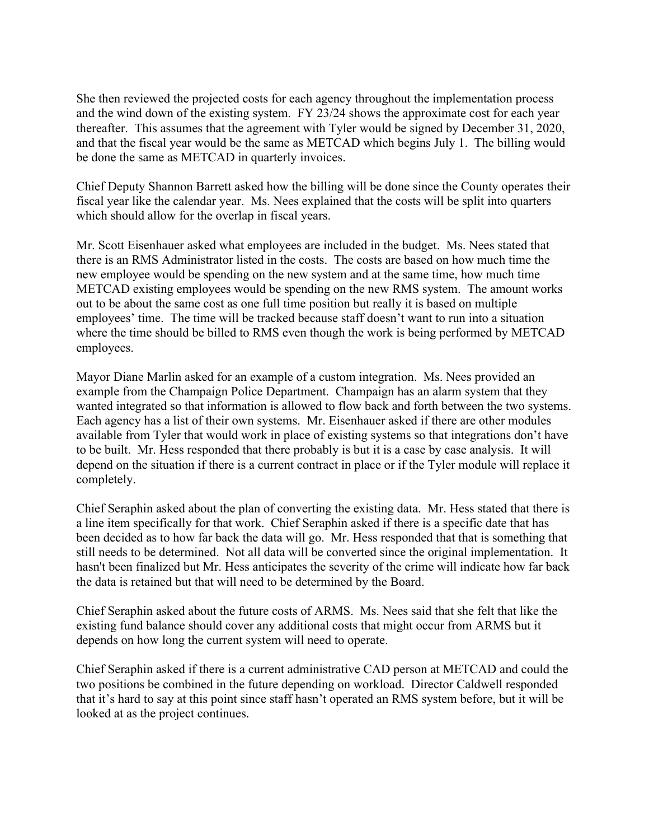She then reviewed the projected costs for each agency throughout the implementation process and the wind down of the existing system. FY 23/24 shows the approximate cost for each year thereafter. This assumes that the agreement with Tyler would be signed by December 31, 2020, and that the fiscal year would be the same as METCAD which begins July 1. The billing would be done the same as METCAD in quarterly invoices.

Chief Deputy Shannon Barrett asked how the billing will be done since the County operates their fiscal year like the calendar year. Ms. Nees explained that the costs will be split into quarters which should allow for the overlap in fiscal years.

Mr. Scott Eisenhauer asked what employees are included in the budget. Ms. Nees stated that there is an RMS Administrator listed in the costs. The costs are based on how much time the new employee would be spending on the new system and at the same time, how much time METCAD existing employees would be spending on the new RMS system. The amount works out to be about the same cost as one full time position but really it is based on multiple employees' time. The time will be tracked because staff doesn't want to run into a situation where the time should be billed to RMS even though the work is being performed by METCAD employees.

Mayor Diane Marlin asked for an example of a custom integration. Ms. Nees provided an example from the Champaign Police Department. Champaign has an alarm system that they wanted integrated so that information is allowed to flow back and forth between the two systems. Each agency has a list of their own systems. Mr. Eisenhauer asked if there are other modules available from Tyler that would work in place of existing systems so that integrations don't have to be built. Mr. Hess responded that there probably is but it is a case by case analysis. It will depend on the situation if there is a current contract in place or if the Tyler module will replace it completely.

Chief Seraphin asked about the plan of converting the existing data. Mr. Hess stated that there is a line item specifically for that work. Chief Seraphin asked if there is a specific date that has been decided as to how far back the data will go. Mr. Hess responded that that is something that still needs to be determined. Not all data will be converted since the original implementation. It hasn't been finalized but Mr. Hess anticipates the severity of the crime will indicate how far back the data is retained but that will need to be determined by the Board.

Chief Seraphin asked about the future costs of ARMS. Ms. Nees said that she felt that like the existing fund balance should cover any additional costs that might occur from ARMS but it depends on how long the current system will need to operate.

Chief Seraphin asked if there is a current administrative CAD person at METCAD and could the two positions be combined in the future depending on workload. Director Caldwell responded that it's hard to say at this point since staff hasn't operated an RMS system before, but it will be looked at as the project continues.